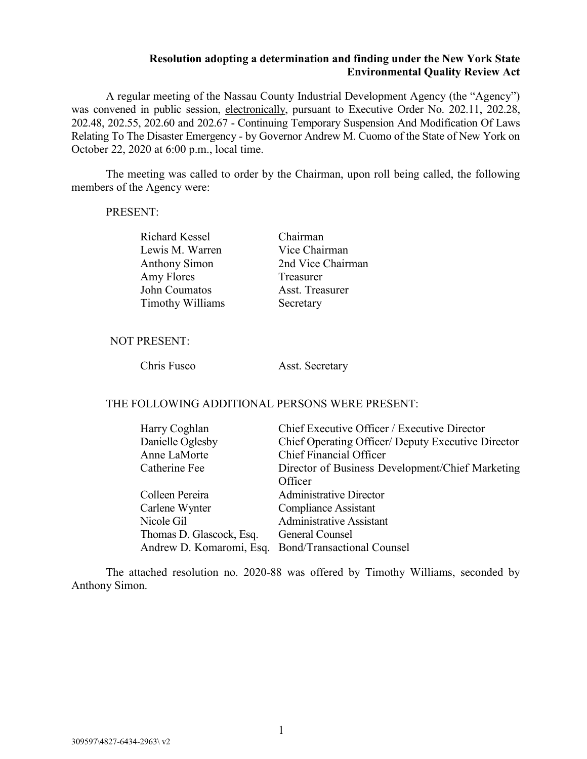## **Resolution adopting a determination and finding under the New York State Environmental Quality Review Act**

A regular meeting of the Nassau County Industrial Development Agency (the "Agency") was convened in public session, electronically, pursuant to Executive Order No. 202.11, 202.28, 202.48, 202.55, 202.60 and 202.67 - Continuing Temporary Suspension And Modification Of Laws Relating To The Disaster Emergency - by Governor Andrew M. Cuomo of the State of New York on October 22, 2020 at 6:00 p.m., local time.

The meeting was called to order by the Chairman, upon roll being called, the following members of the Agency were:

### PRESENT:

Richard Kessel Chairman Lewis M. Warren Vice Chairman Anthony Simon 2nd Vice Chairman Amy Flores Treasurer John Coumatos Asst. Treasurer Timothy Williams Secretary

### NOT PRESENT:

Chris Fusco Asst. Secretary

# THE FOLLOWING ADDITIONAL PERSONS WERE PRESENT:

| Harry Coghlan            | Chief Executive Officer / Executive Director        |  |
|--------------------------|-----------------------------------------------------|--|
| Danielle Oglesby         | Chief Operating Officer/ Deputy Executive Director  |  |
| Anne LaMorte             | <b>Chief Financial Officer</b>                      |  |
| Catherine Fee            | Director of Business Development/Chief Marketing    |  |
|                          | Officer                                             |  |
| Colleen Pereira          | <b>Administrative Director</b>                      |  |
| Carlene Wynter           | <b>Compliance Assistant</b>                         |  |
| Nicole Gil               | <b>Administrative Assistant</b>                     |  |
| Thomas D. Glascock, Esq. | General Counsel                                     |  |
|                          | Andrew D. Komaromi, Esq. Bond/Transactional Counsel |  |

The attached resolution no. 2020-88 was offered by Timothy Williams, seconded by Anthony Simon.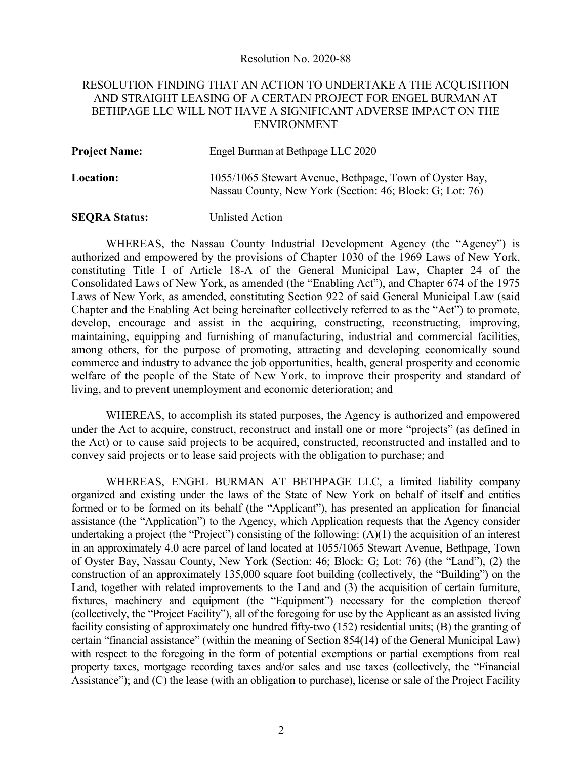#### Resolution No. 2020-88

# RESOLUTION FINDING THAT AN ACTION TO UNDERTAKE A THE ACQUISITION AND STRAIGHT LEASING OF A CERTAIN PROJECT FOR ENGEL BURMAN AT BETHPAGE LLC WILL NOT HAVE A SIGNIFICANT ADVERSE IMPACT ON THE ENVIRONMENT

| <b>Project Name:</b> | Engel Burman at Bethpage LLC 2020                                                                                   |
|----------------------|---------------------------------------------------------------------------------------------------------------------|
| <b>Location:</b>     | 1055/1065 Stewart Avenue, Bethpage, Town of Oyster Bay,<br>Nassau County, New York (Section: 46; Block: G; Lot: 76) |

## **SEQRA Status:** Unlisted Action

WHEREAS, the Nassau County Industrial Development Agency (the "Agency") is authorized and empowered by the provisions of Chapter 1030 of the 1969 Laws of New York, constituting Title I of Article 18-A of the General Municipal Law, Chapter 24 of the Consolidated Laws of New York, as amended (the "Enabling Act"), and Chapter 674 of the 1975 Laws of New York, as amended, constituting Section 922 of said General Municipal Law (said Chapter and the Enabling Act being hereinafter collectively referred to as the "Act") to promote, develop, encourage and assist in the acquiring, constructing, reconstructing, improving, maintaining, equipping and furnishing of manufacturing, industrial and commercial facilities, among others, for the purpose of promoting, attracting and developing economically sound commerce and industry to advance the job opportunities, health, general prosperity and economic welfare of the people of the State of New York, to improve their prosperity and standard of living, and to prevent unemployment and economic deterioration; and

WHEREAS, to accomplish its stated purposes, the Agency is authorized and empowered under the Act to acquire, construct, reconstruct and install one or more "projects" (as defined in the Act) or to cause said projects to be acquired, constructed, reconstructed and installed and to convey said projects or to lease said projects with the obligation to purchase; and

WHEREAS, ENGEL BURMAN AT BETHPAGE LLC, a limited liability company organized and existing under the laws of the State of New York on behalf of itself and entities formed or to be formed on its behalf (the "Applicant"), has presented an application for financial assistance (the "Application") to the Agency, which Application requests that the Agency consider undertaking a project (the "Project") consisting of the following: (A)(1) the acquisition of an interest in an approximately 4.0 acre parcel of land located at 1055/1065 Stewart Avenue, Bethpage, Town of Oyster Bay, Nassau County, New York (Section: 46; Block: G; Lot: 76) (the "Land"), (2) the construction of an approximately 135,000 square foot building (collectively, the "Building") on the Land, together with related improvements to the Land and (3) the acquisition of certain furniture, fixtures, machinery and equipment (the "Equipment") necessary for the completion thereof (collectively, the "Project Facility"), all of the foregoing for use by the Applicant as an assisted living facility consisting of approximately one hundred fifty-two (152) residential units; (B) the granting of certain "financial assistance" (within the meaning of Section 854(14) of the General Municipal Law) with respect to the foregoing in the form of potential exemptions or partial exemptions from real property taxes, mortgage recording taxes and/or sales and use taxes (collectively, the "Financial Assistance"); and (C) the lease (with an obligation to purchase), license or sale of the Project Facility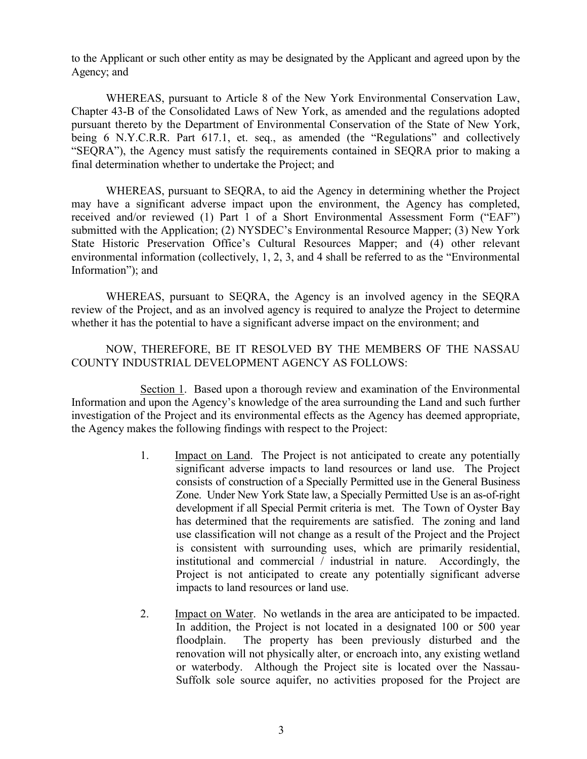to the Applicant or such other entity as may be designated by the Applicant and agreed upon by the Agency; and

WHEREAS, pursuant to Article 8 of the New York Environmental Conservation Law, Chapter 43-B of the Consolidated Laws of New York, as amended and the regulations adopted pursuant thereto by the Department of Environmental Conservation of the State of New York, being 6 N.Y.C.R.R. Part 617.1, et. seq., as amended (the "Regulations" and collectively "SEQRA"), the Agency must satisfy the requirements contained in SEQRA prior to making a final determination whether to undertake the Project; and

WHEREAS, pursuant to SEQRA, to aid the Agency in determining whether the Project may have a significant adverse impact upon the environment, the Agency has completed, received and/or reviewed (1) Part 1 of a Short Environmental Assessment Form ("EAF") submitted with the Application; (2) NYSDEC's Environmental Resource Mapper; (3) New York State Historic Preservation Office's Cultural Resources Mapper; and (4) other relevant environmental information (collectively, 1, 2, 3, and 4 shall be referred to as the "Environmental Information"); and

WHEREAS, pursuant to SEQRA, the Agency is an involved agency in the SEQRA review of the Project, and as an involved agency is required to analyze the Project to determine whether it has the potential to have a significant adverse impact on the environment; and

NOW, THEREFORE, BE IT RESOLVED BY THE MEMBERS OF THE NASSAU COUNTY INDUSTRIAL DEVELOPMENT AGENCY AS FOLLOWS:

Section 1. Based upon a thorough review and examination of the Environmental Information and upon the Agency's knowledge of the area surrounding the Land and such further investigation of the Project and its environmental effects as the Agency has deemed appropriate, the Agency makes the following findings with respect to the Project:

- 1. Impact on Land. The Project is not anticipated to create any potentially significant adverse impacts to land resources or land use. The Project consists of construction of a Specially Permitted use in the General Business Zone. Under New York State law, a Specially Permitted Use is an as-of-right development if all Special Permit criteria is met. The Town of Oyster Bay has determined that the requirements are satisfied. The zoning and land use classification will not change as a result of the Project and the Project is consistent with surrounding uses, which are primarily residential, institutional and commercial / industrial in nature. Accordingly, the Project is not anticipated to create any potentially significant adverse impacts to land resources or land use.
- 2. Impact on Water. No wetlands in the area are anticipated to be impacted. In addition, the Project is not located in a designated 100 or 500 year floodplain. The property has been previously disturbed and the renovation will not physically alter, or encroach into, any existing wetland or waterbody. Although the Project site is located over the Nassau-Suffolk sole source aquifer, no activities proposed for the Project are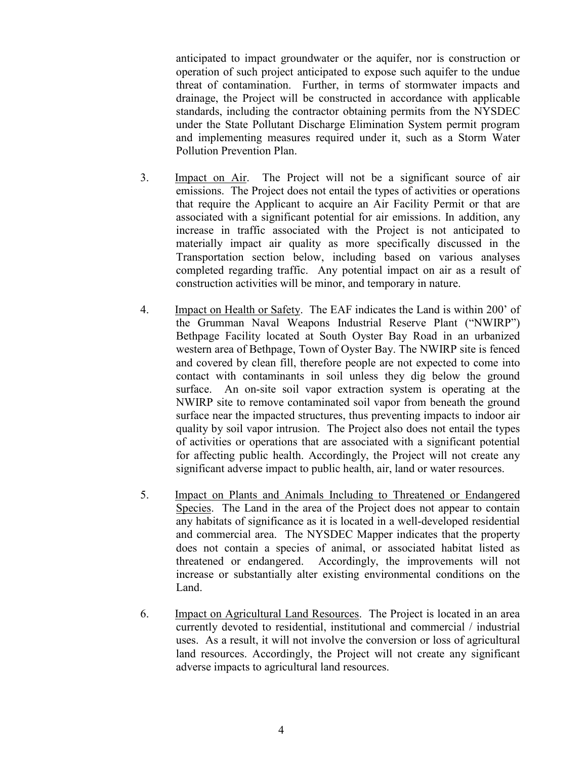anticipated to impact groundwater or the aquifer, nor is construction or operation of such project anticipated to expose such aquifer to the undue threat of contamination. Further, in terms of stormwater impacts and drainage, the Project will be constructed in accordance with applicable standards, including the contractor obtaining permits from the NYSDEC under the State Pollutant Discharge Elimination System permit program and implementing measures required under it, such as a Storm Water Pollution Prevention Plan.

- 3. Impact on Air. The Project will not be a significant source of air emissions. The Project does not entail the types of activities or operations that require the Applicant to acquire an Air Facility Permit or that are associated with a significant potential for air emissions. In addition, any increase in traffic associated with the Project is not anticipated to materially impact air quality as more specifically discussed in the Transportation section below, including based on various analyses completed regarding traffic. Any potential impact on air as a result of construction activities will be minor, and temporary in nature.
- 4. Impact on Health or Safety. The EAF indicates the Land is within 200' of the Grumman Naval Weapons Industrial Reserve Plant ("NWIRP") Bethpage Facility located at South Oyster Bay Road in an urbanized western area of Bethpage, Town of Oyster Bay. The NWIRP site is fenced and covered by clean fill, therefore people are not expected to come into contact with contaminants in soil unless they dig below the ground surface. An on-site soil vapor extraction system is operating at the NWIRP site to remove contaminated soil vapor from beneath the ground surface near the impacted structures, thus preventing impacts to indoor air quality by soil vapor intrusion. The Project also does not entail the types of activities or operations that are associated with a significant potential for affecting public health. Accordingly, the Project will not create any significant adverse impact to public health, air, land or water resources.
- 5. Impact on Plants and Animals Including to Threatened or Endangered Species. The Land in the area of the Project does not appear to contain any habitats of significance as it is located in a well-developed residential and commercial area. The NYSDEC Mapper indicates that the property does not contain a species of animal, or associated habitat listed as threatened or endangered. Accordingly, the improvements will not increase or substantially alter existing environmental conditions on the Land.
- 6. Impact on Agricultural Land Resources. The Project is located in an area currently devoted to residential, institutional and commercial / industrial uses. As a result, it will not involve the conversion or loss of agricultural land resources. Accordingly, the Project will not create any significant adverse impacts to agricultural land resources.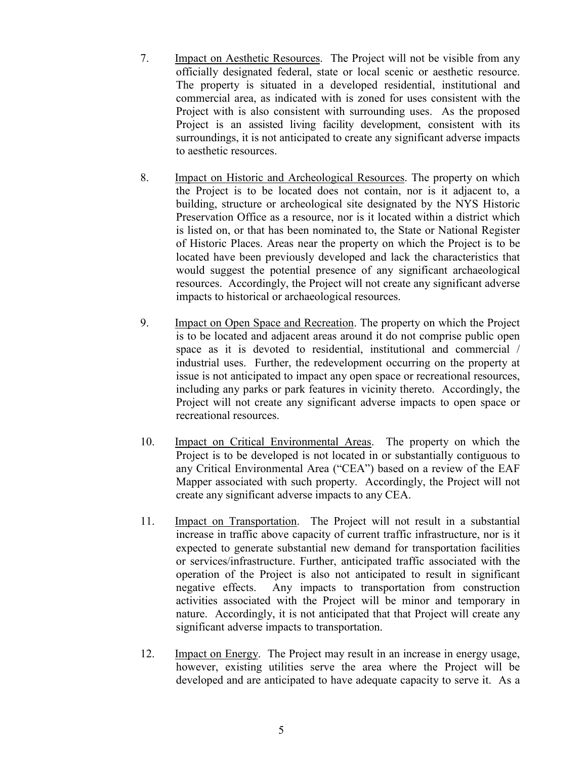- 7. Impact on Aesthetic Resources. The Project will not be visible from any officially designated federal, state or local scenic or aesthetic resource. The property is situated in a developed residential, institutional and commercial area, as indicated with is zoned for uses consistent with the Project with is also consistent with surrounding uses. As the proposed Project is an assisted living facility development, consistent with its surroundings, it is not anticipated to create any significant adverse impacts to aesthetic resources.
- 8. Impact on Historic and Archeological Resources. The property on which the Project is to be located does not contain, nor is it adjacent to, a building, structure or archeological site designated by the NYS Historic Preservation Office as a resource, nor is it located within a district which is listed on, or that has been nominated to, the State or National Register of Historic Places. Areas near the property on which the Project is to be located have been previously developed and lack the characteristics that would suggest the potential presence of any significant archaeological resources. Accordingly, the Project will not create any significant adverse impacts to historical or archaeological resources.
- 9. Impact on Open Space and Recreation. The property on which the Project is to be located and adjacent areas around it do not comprise public open space as it is devoted to residential, institutional and commercial / industrial uses. Further, the redevelopment occurring on the property at issue is not anticipated to impact any open space or recreational resources, including any parks or park features in vicinity thereto. Accordingly, the Project will not create any significant adverse impacts to open space or recreational resources.
- 10. Impact on Critical Environmental Areas. The property on which the Project is to be developed is not located in or substantially contiguous to any Critical Environmental Area ("CEA") based on a review of the EAF Mapper associated with such property. Accordingly, the Project will not create any significant adverse impacts to any CEA.
- 11. Impact on Transportation. The Project will not result in a substantial increase in traffic above capacity of current traffic infrastructure, nor is it expected to generate substantial new demand for transportation facilities or services/infrastructure. Further, anticipated traffic associated with the operation of the Project is also not anticipated to result in significant negative effects. Any impacts to transportation from construction activities associated with the Project will be minor and temporary in nature. Accordingly, it is not anticipated that that Project will create any significant adverse impacts to transportation.
- 12. Impact on Energy. The Project may result in an increase in energy usage, however, existing utilities serve the area where the Project will be developed and are anticipated to have adequate capacity to serve it. As a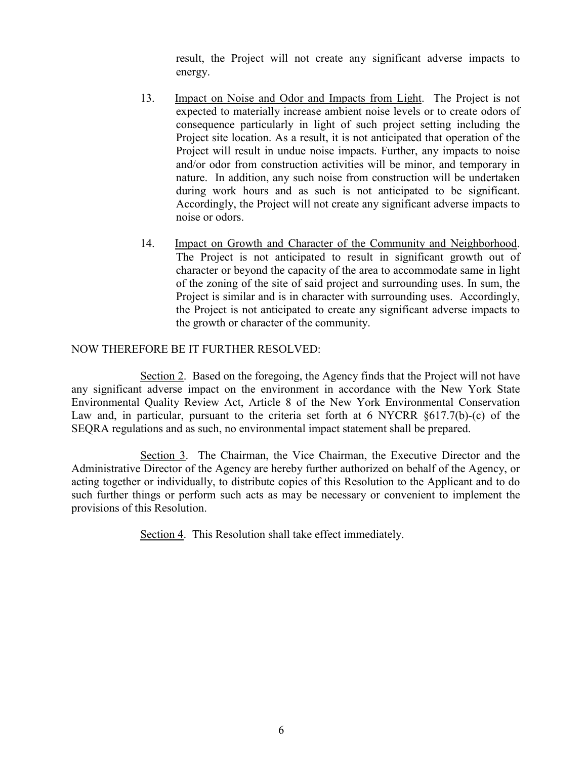result, the Project will not create any significant adverse impacts to energy.

- 13. Impact on Noise and Odor and Impacts from Light. The Project is not expected to materially increase ambient noise levels or to create odors of consequence particularly in light of such project setting including the Project site location. As a result, it is not anticipated that operation of the Project will result in undue noise impacts. Further, any impacts to noise and/or odor from construction activities will be minor, and temporary in nature. In addition, any such noise from construction will be undertaken during work hours and as such is not anticipated to be significant. Accordingly, the Project will not create any significant adverse impacts to noise or odors.
- 14. Impact on Growth and Character of the Community and Neighborhood. The Project is not anticipated to result in significant growth out of character or beyond the capacity of the area to accommodate same in light of the zoning of the site of said project and surrounding uses. In sum, the Project is similar and is in character with surrounding uses. Accordingly, the Project is not anticipated to create any significant adverse impacts to the growth or character of the community.

# NOW THEREFORE BE IT FURTHER RESOLVED:

Section 2. Based on the foregoing, the Agency finds that the Project will not have any significant adverse impact on the environment in accordance with the New York State Environmental Quality Review Act, Article 8 of the New York Environmental Conservation Law and, in particular, pursuant to the criteria set forth at 6 NYCRR  $\S617.7(b)-(c)$  of the SEQRA regulations and as such, no environmental impact statement shall be prepared.

Section 3. The Chairman, the Vice Chairman, the Executive Director and the Administrative Director of the Agency are hereby further authorized on behalf of the Agency, or acting together or individually, to distribute copies of this Resolution to the Applicant and to do such further things or perform such acts as may be necessary or convenient to implement the provisions of this Resolution.

Section 4. This Resolution shall take effect immediately.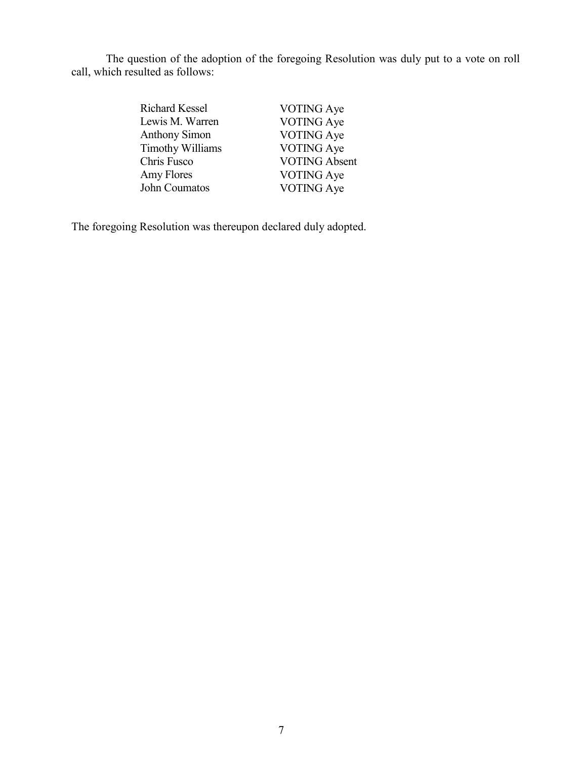The question of the adoption of the foregoing Resolution was duly put to a vote on roll call, which resulted as follows:

| <b>Richard Kessel</b>   | <b>VOTING Aye</b>    |
|-------------------------|----------------------|
| Lewis M. Warren         | <b>VOTING</b> Aye    |
| <b>Anthony Simon</b>    | <b>VOTING Aye</b>    |
| <b>Timothy Williams</b> | <b>VOTING Aye</b>    |
| Chris Fusco             | <b>VOTING Absent</b> |
| Amy Flores              | <b>VOTING Aye</b>    |
| John Coumatos           | <b>VOTING</b> Aye    |

The foregoing Resolution was thereupon declared duly adopted.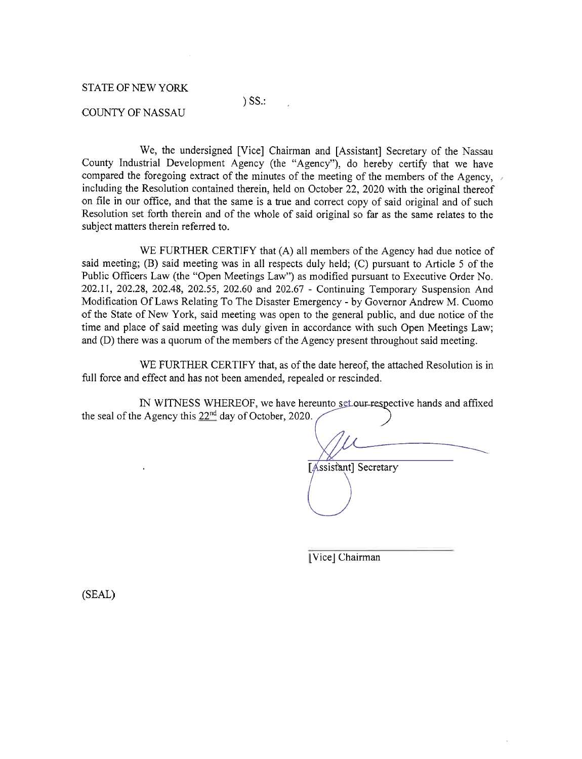### **STATE OF NEW YORK**

# $)$  SS $\therefore$

### **COUNTY OF NASSAU**

We, the undersigned [Vice] Chairman and [Assistant] Secretary of the Nassau County Industrial Development Agency (the "Agency"), do hereby certify that we have compared the foregoing extract of the minutes of the meeting of the members of the Agency, including the Resolution contained therein, held on October 22, 2020 with the original thereof on file in our office, and that the same is a true and correct copy of said original and of such Resolution set forth therein and of the whole of said original so far as the same relates to the subject matters therein referred to.

WE FURTHER CERTIFY that (A) all members of the Agency had due notice of said meeting; (B) said meeting was in all respects duly held; (C) pursuant to Article 5 of the Public Officers Law (the "Open Meetings Law") as modified pursuant to Executive Order No. 202.11, 202.28, 202.48, 202.55, 202.60 and 202.67 - Continuing Temporary Suspension And Modification Of Laws Relating To The Disaster Emergency - by Governor Andrew M. Cuomo of the State of New York, said meeting was open to the general public, and due notice of the time and place of said meeting was duly given in accordance with such Open Meetings Law; and (D) there was a quorum of the members of the Agency present throughout said meeting.

WE FURTHER CERTIFY that, as of the date hereof, the attached Resolution is in full force and effect and has not been amended, repealed or rescinded.

IN WITNESS WHEREOF, we have hereunto set our respective hands and affixed the seal of the Agency this  $22^{nd}$  day of October, 2020.

[Assistant] Secretary

[Vice] Chairman

(SEAL)